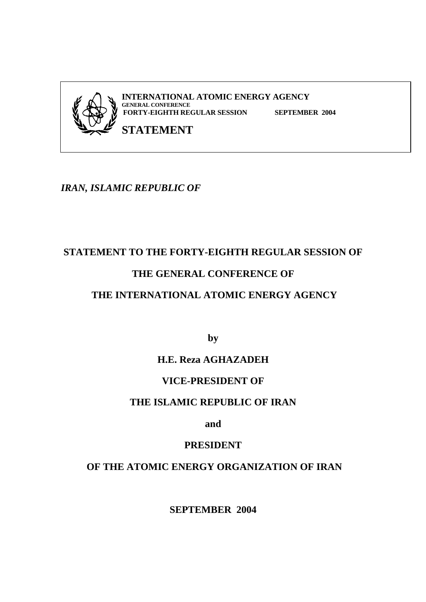

# *IRAN, ISLAMIC REPUBLIC OF*

# **STATEMENT TO THE FORTY-EIGHTH REGULAR SESSION OF**

# **THE GENERAL CONFERENCE OF**

# **THE INTERNATIONAL ATOMIC ENERGY AGENCY**

**by** 

# **H.E. Reza AGHAZADEH**

# **VICE-PRESIDENT OF**

# **THE ISLAMIC REPUBLIC OF IRAN**

**and** 

# **PRESIDENT**

# **OF THE ATOMIC ENERGY ORGANIZATION OF IRAN**

**SEPTEMBER 2004**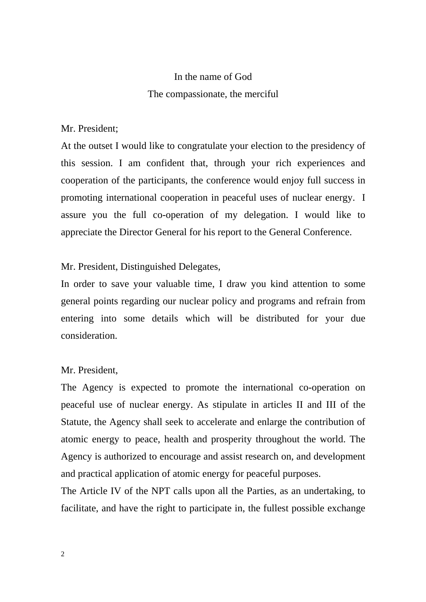# In the name of God The compassionate, the merciful

## Mr. President;

At the outset I would like to congratulate your election to the presidency of this session. I am confident that, through your rich experiences and cooperation of the participants, the conference would enjoy full success in promoting international cooperation in peaceful uses of nuclear energy. I assure you the full co-operation of my delegation. I would like to appreciate the Director General for his report to the General Conference.

## Mr. President, Distinguished Delegates,

In order to save your valuable time, I draw you kind attention to some general points regarding our nuclear policy and programs and refrain from entering into some details which will be distributed for your due consideration.

## Mr. President,

The Agency is expected to promote the international co-operation on peaceful use of nuclear energy. As stipulate in articles II and III of the Statute, the Agency shall seek to accelerate and enlarge the contribution of atomic energy to peace, health and prosperity throughout the world. The Agency is authorized to encourage and assist research on, and development and practical application of atomic energy for peaceful purposes.

The Article IV of the NPT calls upon all the Parties, as an undertaking, to facilitate, and have the right to participate in, the fullest possible exchange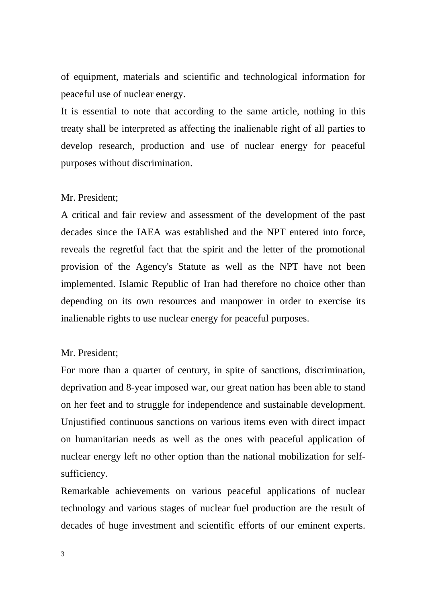of equipment, materials and scientific and technological information for peaceful use of nuclear energy.

It is essential to note that according to the same article, nothing in this treaty shall be interpreted as affecting the inalienable right of all parties to develop research, production and use of nuclear energy for peaceful purposes without discrimination.

#### Mr. President;

A critical and fair review and assessment of the development of the past decades since the IAEA was established and the NPT entered into force, reveals the regretful fact that the spirit and the letter of the promotional provision of the Agency's Statute as well as the NPT have not been implemented. Islamic Republic of Iran had therefore no choice other than depending on its own resources and manpower in order to exercise its inalienable rights to use nuclear energy for peaceful purposes.

#### Mr. President;

For more than a quarter of century, in spite of sanctions, discrimination, deprivation and 8-year imposed war, our great nation has been able to stand on her feet and to struggle for independence and sustainable development. Unjustified continuous sanctions on various items even with direct impact on humanitarian needs as well as the ones with peaceful application of nuclear energy left no other option than the national mobilization for selfsufficiency.

Remarkable achievements on various peaceful applications of nuclear technology and various stages of nuclear fuel production are the result of decades of huge investment and scientific efforts of our eminent experts.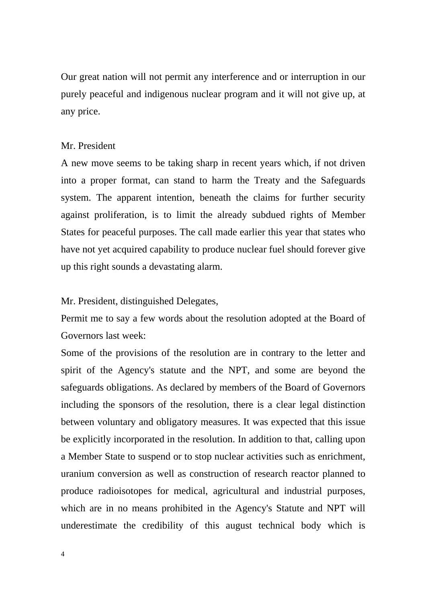Our great nation will not permit any interference and or interruption in our purely peaceful and indigenous nuclear program and it will not give up, at any price.

#### Mr. President

A new move seems to be taking sharp in recent years which, if not driven into a proper format, can stand to harm the Treaty and the Safeguards system. The apparent intention, beneath the claims for further security against proliferation, is to limit the already subdued rights of Member States for peaceful purposes. The call made earlier this year that states who have not yet acquired capability to produce nuclear fuel should forever give up this right sounds a devastating alarm.

Mr. President, distinguished Delegates,

Permit me to say a few words about the resolution adopted at the Board of Governors last week:

Some of the provisions of the resolution are in contrary to the letter and spirit of the Agency's statute and the NPT, and some are beyond the safeguards obligations. As declared by members of the Board of Governors including the sponsors of the resolution, there is a clear legal distinction between voluntary and obligatory measures. It was expected that this issue be explicitly incorporated in the resolution. In addition to that, calling upon a Member State to suspend or to stop nuclear activities such as enrichment, uranium conversion as well as construction of research reactor planned to produce radioisotopes for medical, agricultural and industrial purposes, which are in no means prohibited in the Agency's Statute and NPT will underestimate the credibility of this august technical body which is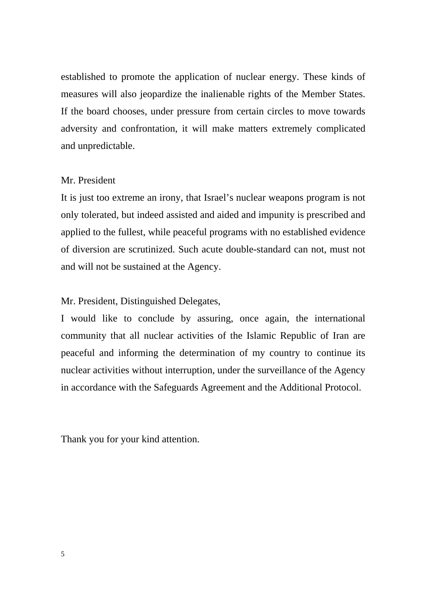established to promote the application of nuclear energy. These kinds of measures will also jeopardize the inalienable rights of the Member States. If the board chooses, under pressure from certain circles to move towards adversity and confrontation, it will make matters extremely complicated and unpredictable.

## Mr. President

It is just too extreme an irony, that Israel's nuclear weapons program is not only tolerated, but indeed assisted and aided and impunity is prescribed and applied to the fullest, while peaceful programs with no established evidence of diversion are scrutinized. Such acute double-standard can not, must not and will not be sustained at the Agency.

### Mr. President, Distinguished Delegates,

I would like to conclude by assuring, once again, the international community that all nuclear activities of the Islamic Republic of Iran are peaceful and informing the determination of my country to continue its nuclear activities without interruption, under the surveillance of the Agency in accordance with the Safeguards Agreement and the Additional Protocol.

Thank you for your kind attention.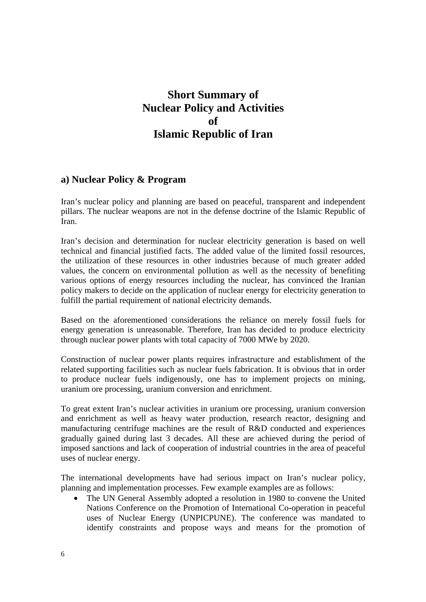# **Short Summary of Nuclear Policy and Activities of Islamic Republic of Iran**

## **a) Nuclear Policy & Program**

Iran's nuclear policy and planning are based on peaceful, transparent and independent pillars. The nuclear weapons are not in the defense doctrine of the Islamic Republic of Iran.

Iran's decision and determination for nuclear electricity generation is based on well technical and financial justified facts. The added value of the limited fossil resources, the utilization of these resources in other industries because of much greater added values, the concern on environmental pollution as well as the necessity of benefiting various options of energy resources including the nuclear, has convinced the Iranian policy makers to decide on the application of nuclear energy for electricity generation to fulfill the partial requirement of national electricity demands.

Based on the aforementioned considerations the reliance on merely fossil fuels for energy generation is unreasonable. Therefore, Iran has decided to produce electricity through nuclear power plants with total capacity of 7000 MWe by 2020.

Construction of nuclear power plants requires infrastructure and establishment of the related supporting facilities such as nuclear fuels fabrication. It is obvious that in order to produce nuclear fuels indigenously, one has to implement projects on mining, uranium ore processing, uranium conversion and enrichment.

To great extent Iran's nuclear activities in uranium ore processing, uranium conversion and enrichment as well as heavy water production, research reactor, designing and manufacturing centrifuge machines are the result of R&D conducted and experiences gradually gained during last 3 decades. All these are achieved during the period of imposed sanctions and lack of cooperation of industrial countries in the area of peaceful uses of nuclear energy.

The international developments have had serious impact on Iran's nuclear policy, planning and implementation processes. Few example examples are as follows:

The UN General Assembly adopted a resolution in 1980 to convene the United Nations Conference on the Promotion of International Co-operation in peaceful uses of Nuclear Energy (UNPICPUNE). The conference was mandated to identify constraints and propose ways and means for the promotion of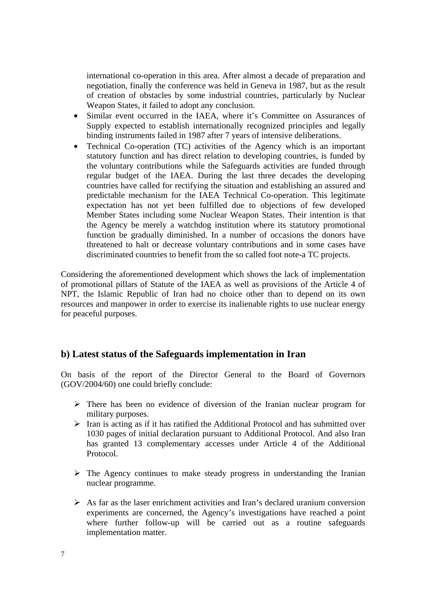international co-operation in this area. After almost a decade of preparation and negotiation, finally the conference was held in Geneva in 1987, but as the result of creation of obstacles by some industrial countries, particularly by Nuclear Weapon States, it failed to adopt any conclusion.

- Similar event occurred in the IAEA, where it's Committee on Assurances of Supply expected to establish internationally recognized principles and legally binding instruments failed in 1987 after 7 years of intensive deliberations.
- Technical Co-operation (TC) activities of the Agency which is an important statutory function and has direct relation to developing countries, is funded by the voluntary contributions while the Safeguards activities are funded through regular budget of the IAEA. During the last three decades the developing countries have called for rectifying the situation and establishing an assured and predictable mechanism for the IAEA Technical Co-operation. This legitimate expectation has not yet been fulfilled due to objections of few developed Member States including some Nuclear Weapon States. Their intention is that the Agency be merely a watchdog institution where its statutory promotional function be gradually diminished. In a number of occasions the donors have threatened to halt or decrease voluntary contributions and in some cases have discriminated countries to benefit from the so called foot note-a TC projects.

Considering the aforementioned development which shows the lack of implementation of promotional pillars of Statute of the IAEA as well as provisions of the Article 4 of NPT, the Islamic Republic of Iran had no choice other than to depend on its own resources and manpower in order to exercise its inalienable rights to use nuclear energy for peaceful purposes.

#### **b) Latest status of the Safeguards implementation in Iran**

On basis of the report of the Director General to the Board of Governors (GOV/2004/60) one could briefly conclude:

- $\triangleright$  There has been no evidence of diversion of the Iranian nuclear program for military purposes.
- $\triangleright$  Iran is acting as if it has ratified the Additional Protocol and has submitted over 1030 pages of initial declaration pursuant to Additional Protocol. And also Iran has granted 13 complementary accesses under Article 4 of the Additional Protocol.
- $\triangleright$  The Agency continues to make steady progress in understanding the Iranian nuclear programme.
- $\triangleright$  As far as the laser enrichment activities and Iran's declared uranium conversion experiments are concerned, the Agency's investigations have reached a point where further follow-up will be carried out as a routine safeguards implementation matter.